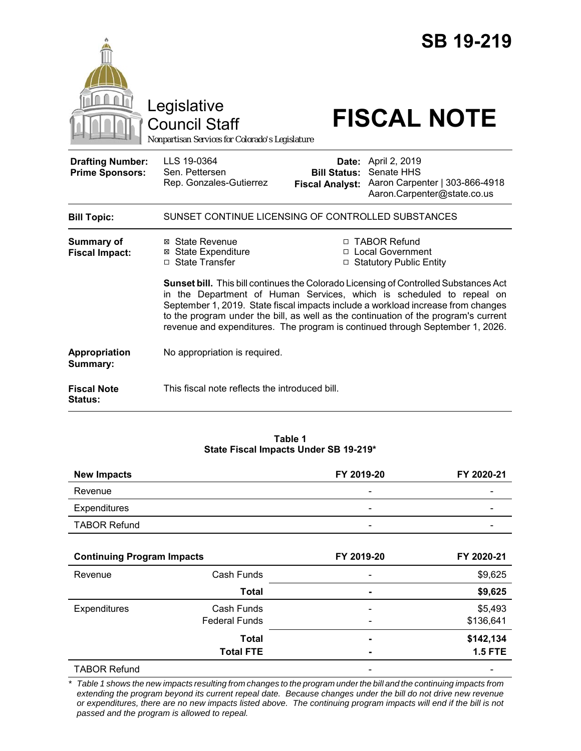|                                                   | Legislative<br><b>Council Staff</b><br>Nonpartisan Services for Colorado's Legislature                                                                                                                                                                   |                                                        | <b>SB 19-219</b><br><b>FISCAL NOTE</b>                                                                                                                                                                                            |  |
|---------------------------------------------------|----------------------------------------------------------------------------------------------------------------------------------------------------------------------------------------------------------------------------------------------------------|--------------------------------------------------------|-----------------------------------------------------------------------------------------------------------------------------------------------------------------------------------------------------------------------------------|--|
| <b>Drafting Number:</b><br><b>Prime Sponsors:</b> | LLS 19-0364<br>Sen. Pettersen<br>Rep. Gonzales-Gutierrez                                                                                                                                                                                                 | Date:<br><b>Bill Status:</b><br><b>Fiscal Analyst:</b> | April 2, 2019<br>Senate HHS<br>Aaron Carpenter   303-866-4918<br>Aaron.Carpenter@state.co.us                                                                                                                                      |  |
| <b>Bill Topic:</b>                                | SUNSET CONTINUE LICENSING OF CONTROLLED SUBSTANCES                                                                                                                                                                                                       |                                                        |                                                                                                                                                                                                                                   |  |
| Summary of<br><b>Fiscal Impact:</b>               | ⊠ State Revenue<br><b>⊠</b> State Expenditure<br>□ State Transfer                                                                                                                                                                                        |                                                        | □ TABOR Refund<br>□ Local Government<br>□ Statutory Public Entity<br>Sunset bill. This bill continues the Colorado Licensing of Controlled Substances Act<br>in the Department of Human Services, which is scheduled to repeal on |  |
|                                                   | September 1, 2019. State fiscal impacts include a workload increase from changes<br>to the program under the bill, as well as the continuation of the program's current<br>revenue and expenditures. The program is continued through September 1, 2026. |                                                        |                                                                                                                                                                                                                                   |  |
| Appropriation<br>Summary:                         | No appropriation is required.                                                                                                                                                                                                                            |                                                        |                                                                                                                                                                                                                                   |  |
| <b>Fiscal Note</b><br><b>Status:</b>              | This fiscal note reflects the introduced bill.                                                                                                                                                                                                           |                                                        |                                                                                                                                                                                                                                   |  |

#### **Table 1 State Fiscal Impacts Under SB 19-219\***

| <b>New Impacts</b>  | FY 2019-20               | FY 2020-21               |
|---------------------|--------------------------|--------------------------|
| Revenue             | -                        | -                        |
| Expenditures        | -                        | -                        |
| <b>TABOR Refund</b> | $\overline{\phantom{0}}$ | $\overline{\phantom{a}}$ |

| <b>Continuing Program Impacts</b> |                      | FY 2019-20                   | FY 2020-21     |
|-----------------------------------|----------------------|------------------------------|----------------|
| Revenue                           | Cash Funds           | $\overline{\phantom{0}}$     | \$9,625        |
|                                   | <b>Total</b>         | $\blacksquare$               | \$9,625        |
| Expenditures                      | Cash Funds           | $\overline{\phantom{0}}$     | \$5,493        |
|                                   | <b>Federal Funds</b> | $\qquad \qquad \blacksquare$ | \$136,641      |
|                                   | <b>Total</b>         | -                            | \$142,134      |
|                                   | <b>Total FTE</b>     | ۰                            | <b>1.5 FTE</b> |
| <b>TABOR Refund</b>               |                      |                              |                |

\* Table 1 shows the new impacts resulting from changes to the program under the bill and the continuing impacts from *extending the program beyond its current repeal date. Because changes under the bill do not drive new revenue or expenditures, there are no new impacts listed above. The continuing program impacts will end if the bill is not passed and the program is allowed to repeal.*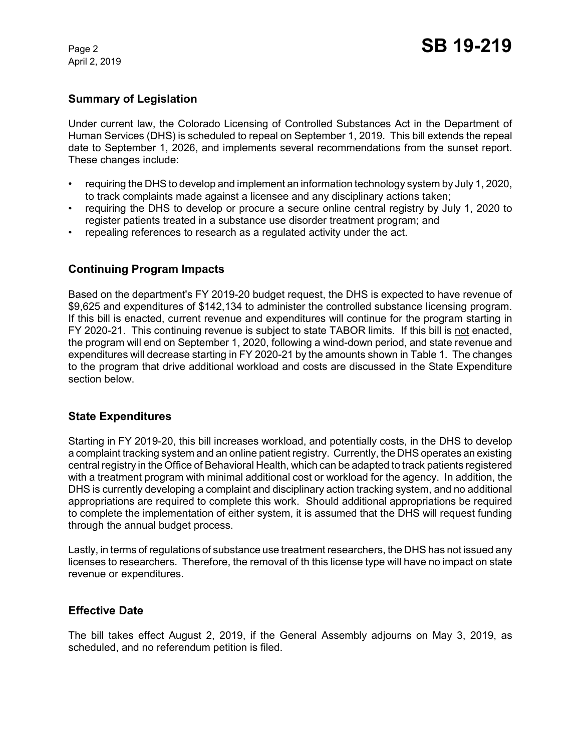April 2, 2019

## **Summary of Legislation**

Under current law, the Colorado Licensing of Controlled Substances Act in the Department of Human Services (DHS) is scheduled to repeal on September 1, 2019. This bill extends the repeal date to September 1, 2026, and implements several recommendations from the sunset report. These changes include:

- requiring the DHS to develop and implement an information technology system by July 1, 2020, to track complaints made against a licensee and any disciplinary actions taken;
- requiring the DHS to develop or procure a secure online central registry by July 1, 2020 to register patients treated in a substance use disorder treatment program; and
- repealing references to research as a regulated activity under the act.

# **Continuing Program Impacts**

Based on the department's FY 2019-20 budget request, the DHS is expected to have revenue of \$9,625 and expenditures of \$142,134 to administer the controlled substance licensing program. If this bill is enacted, current revenue and expenditures will continue for the program starting in FY 2020-21. This continuing revenue is subject to state TABOR limits. If this bill is not enacted, the program will end on September 1, 2020, following a wind-down period, and state revenue and expenditures will decrease starting in FY 2020-21 by the amounts shown in Table 1. The changes to the program that drive additional workload and costs are discussed in the State Expenditure section below.

### **State Expenditures**

Starting in FY 2019-20, this bill increases workload, and potentially costs, in the DHS to develop a complaint tracking system and an online patient registry. Currently, the DHS operates an existing central registry in the Office of Behavioral Health, which can be adapted to track patients registered with a treatment program with minimal additional cost or workload for the agency. In addition, the DHS is currently developing a complaint and disciplinary action tracking system, and no additional appropriations are required to complete this work. Should additional appropriations be required to complete the implementation of either system, it is assumed that the DHS will request funding through the annual budget process.

Lastly, in terms of regulations of substance use treatment researchers, the DHS has not issued any licenses to researchers. Therefore, the removal of th this license type will have no impact on state revenue or expenditures.

### **Effective Date**

The bill takes effect August 2, 2019, if the General Assembly adjourns on May 3, 2019, as scheduled, and no referendum petition is filed.